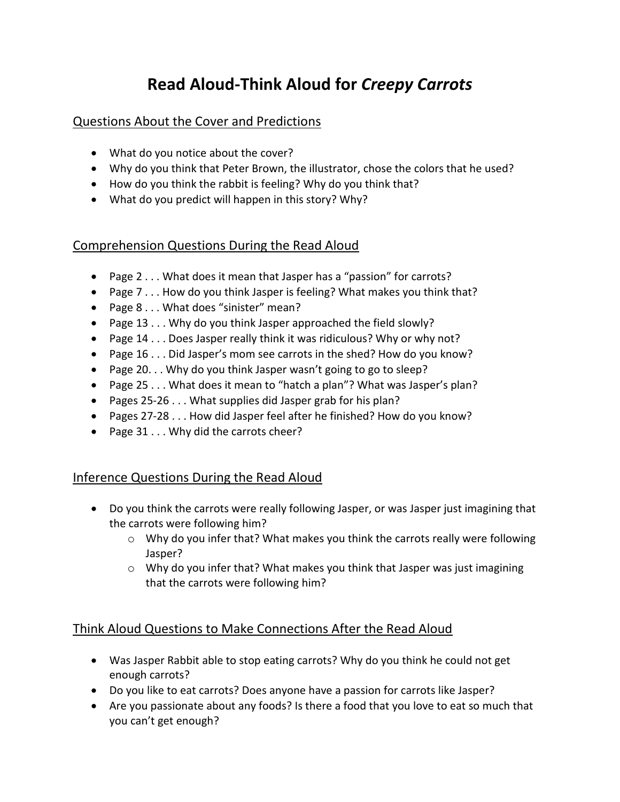# **Read Aloud-Think Aloud for** *Creepy Carrots*

### Questions About the Cover and Predictions

- What do you notice about the cover?
- Why do you think that Peter Brown, the illustrator, chose the colors that he used?
- How do you think the rabbit is feeling? Why do you think that?
- What do you predict will happen in this story? Why?

## Comprehension Questions During the Read Aloud

- Page 2 . . . What does it mean that Jasper has a "passion" for carrots?
- Page 7 . . . How do you think Jasper is feeling? What makes you think that?
- Page 8 . . . What does "sinister" mean?
- Page 13 . . . Why do you think Jasper approached the field slowly?
- Page 14 . . . Does Jasper really think it was ridiculous? Why or why not?
- Page 16 . . . Did Jasper's mom see carrots in the shed? How do you know?
- Page 20. . . Why do you think Jasper wasn't going to go to sleep?
- Page 25 . . . What does it mean to "hatch a plan"? What was Jasper's plan?
- Pages 25-26 . . . What supplies did Jasper grab for his plan?
- Pages 27-28 . . . How did Jasper feel after he finished? How do you know?
- Page 31 . . . Why did the carrots cheer?

## Inference Questions During the Read Aloud

- Do you think the carrots were really following Jasper, or was Jasper just imagining that the carrots were following him?
	- o Why do you infer that? What makes you think the carrots really were following Jasper?
	- o Why do you infer that? What makes you think that Jasper was just imagining that the carrots were following him?

## Think Aloud Questions to Make Connections After the Read Aloud

- Was Jasper Rabbit able to stop eating carrots? Why do you think he could not get enough carrots?
- Do you like to eat carrots? Does anyone have a passion for carrots like Jasper?
- Are you passionate about any foods? Is there a food that you love to eat so much that you can't get enough?